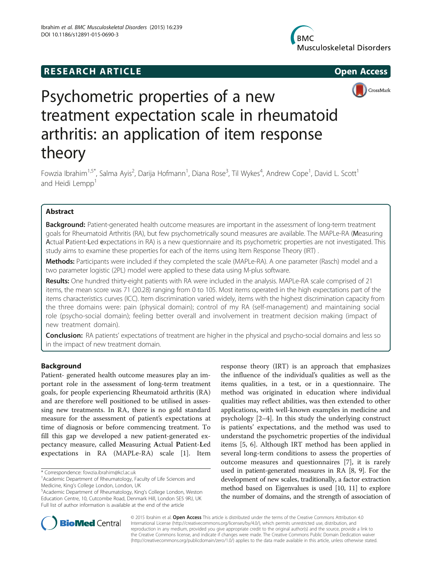# **RESEARCH ARTICLE Example 2014 The SEAR CH ACCESS**







# Psychometric properties of a new treatment expectation scale in rheumatoid arthritis: an application of item response theory

Fowzia Ibrahim<sup>1,5\*</sup>, Salma Ayis<sup>2</sup>, Darija Hofmann<sup>1</sup>, Diana Rose<sup>3</sup>, Til Wykes<sup>4</sup>, Andrew Cope<sup>1</sup>, David L. Scott<sup>1</sup> and Heidi Lempp<sup>1</sup>

# Abstract

Background: Patient-generated health outcome measures are important in the assessment of long-term treatment goals for Rheumatoid Arthritis (RA), but few psychometrically sound measures are available. The MAPLe-RA (Measuring Actual Patient-Led expectations in RA) is a new questionnaire and its psychometric properties are not investigated. This study aims to examine these properties for each of the items using Item Response Theory (IRT) .

Methods: Participants were included if they completed the scale (MAPLe-RA). A one parameter (Rasch) model and a two parameter logistic (2PL) model were applied to these data using M-plus software.

Results: One hundred thirty-eight patients with RA were included in the analysis. MAPLe-RA scale comprised of 21 items, the mean score was 71 (20.28) ranging from 0 to 105. Most items operated in the high expectations part of the items characteristics curves (ICC). Item discrimination varied widely, items with the highest discrimination capacity from the three domains were: pain (physical domain); control of my RA (self-management) and maintaining social role (psycho-social domain); feeling better overall and involvement in treatment decision making (impact of new treatment domain).

**Conclusion:** RA patients' expectations of treatment are higher in the physical and psycho-social domains and less so in the impact of new treatment domain.

# Background

Patient- generated health outcome measures play an important role in the assessment of long-term treatment goals, for people experiencing Rheumatoid arthritis (RA) and are therefore well positioned to be utilised in assessing new treatments. In RA, there is no gold standard measure for the assessment of patient's expectations at time of diagnosis or before commencing treatment. To fill this gap we developed a new patient-generated expectancy measure, called Measuring Actual Patient-Led expectations in RA (MAPLe-RA) scale [\[1](#page-5-0)]. Item

response theory (IRT) is an approach that emphasizes the influence of the individual's qualities as well as the items qualities, in a test, or in a questionnaire. The method was originated in education where individual qualities may reflect abilities, was then extended to other applications, with well-known examples in medicine and psychology [\[2](#page-5-0)–[4](#page-6-0)]. In this study the underlying construct is patients' expectations, and the method was used to understand the psychometric properties of the individual items [[5, 6\]](#page-6-0). Although IRT method has been applied in several long-term conditions to assess the properties of outcome measures and questionnaires [\[7](#page-6-0)], it is rarely used in patient-generated measures in RA [\[8, 9\]](#page-6-0). For the development of new scales, traditionally, a factor extraction method based on Eigenvalues is used [\[10, 11](#page-6-0)] to explore the number of domains, and the strength of association of



© 2015 Ibrahim et al. Open Access This article is distributed under the terms of the Creative Commons Attribution 4.0 International License [\(http://creativecommons.org/licenses/by/4.0/](http://creativecommons.org/licenses/by/4.0/)), which permits unrestricted use, distribution, and reproduction in any medium, provided you give appropriate credit to the original author(s) and the source, provide a link to the Creative Commons license, and indicate if changes were made. The Creative Commons Public Domain Dedication waiver [\(http://creativecommons.org/publicdomain/zero/1.0/](http://creativecommons.org/publicdomain/zero/1.0/)) applies to the data made available in this article, unless otherwise stated.

<sup>\*</sup> Correspondence: [fowzia.ibrahim@kcl.ac.uk](mailto:fowzia.ibrahim@kcl.ac.uk) <sup>1</sup>

<sup>&</sup>lt;sup>1</sup> Academic Department of Rheumatology, Faculty of Life Sciences and Medicine, King's College London, London, UK <sup>5</sup>

<sup>&</sup>lt;sup>5</sup> Academic Department of Rheumatology, King's College London, Weston Education Centre, 10, Cutcombe Road, Denmark Hill, London SE5 9RJ, UK Full list of author information is available at the end of the article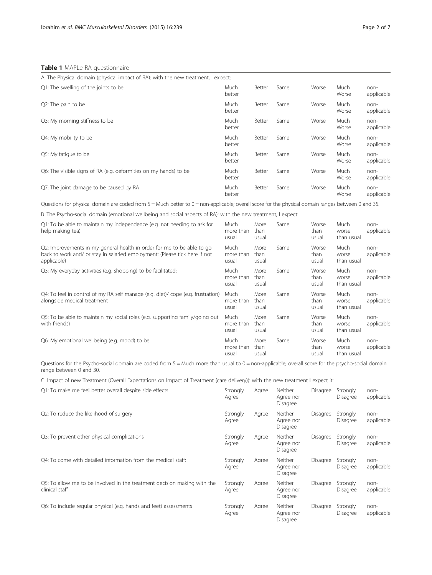# <span id="page-1-0"></span>Table 1 MAPLe-RA questionnaire

| A. The Physical domain (physical impact of RA): with the new treatment, I expect: |                |        |      |       |               |                    |
|-----------------------------------------------------------------------------------|----------------|--------|------|-------|---------------|--------------------|
| Q1: The swelling of the joints to be                                              | Much<br>better | Better | Same | Worse | Much<br>Worse | non-<br>applicable |
| Q2: The pain to be                                                                | Much<br>better | Better | Same | Worse | Much<br>Worse | non-<br>applicable |
| Q3: My morning stiffness to be                                                    | Much<br>better | Better | Same | Worse | Much<br>Worse | non-<br>applicable |
| Q4: My mobility to be                                                             | Much<br>better | Better | Same | Worse | Much<br>Worse | non-<br>applicable |
| Q5: My fatigue to be                                                              | Much<br>better | Better | Same | Worse | Much<br>Worse | non-<br>applicable |
| Q6: The visible signs of RA (e.g. deformities on my hands) to be                  | Much<br>better | Better | Same | Worse | Much<br>Worse | non-<br>applicable |
| Q7: The joint damage to be caused by RA                                           | Much<br>better | Better | Same | Worse | Much<br>Worse | non-<br>applicable |

Questions for physical domain are coded from 5 = Much better to 0 = non-applicable; overall score for the physical domain ranges between 0 and 35.

B. The Psycho-social domain (emotional wellbeing and social aspects of RA): with the new treatment, I expect:

| Q1: To be able to maintain my independence (e.g. not needing to ask for<br>help making tea)                                                                         | Much<br>more than<br>usual | More<br>than<br>usual | Same | Worse<br>than<br>usual | Much<br>worse<br>than usual | non-<br>applicable |
|---------------------------------------------------------------------------------------------------------------------------------------------------------------------|----------------------------|-----------------------|------|------------------------|-----------------------------|--------------------|
| Q2: Improvements in my general health in order for me to be able to go<br>back to work and/ or stay in salaried employment: (Please tick here if not<br>applicable) | Much<br>more than<br>usual | More<br>than<br>usual | Same | Worse<br>than<br>usual | Much<br>worse<br>than usual | non-<br>applicable |
| Q3: My everyday activities (e.g. shopping) to be facilitated:                                                                                                       | Much<br>more than<br>usual | More<br>than<br>usual | Same | Worse<br>than<br>usual | Much<br>worse<br>than usual | non-<br>applicable |
| Q4: To feel in control of my RA self manage (e.g. diet)/ cope (e.g. frustration)<br>alongside medical treatment                                                     | Much<br>more than<br>usual | More<br>than<br>usual | Same | Worse<br>than<br>usual | Much<br>worse<br>than usual | non-<br>applicable |
| Q5: To be able to maintain my social roles (e.g. supporting family/going out<br>with friends)                                                                       | Much<br>more than<br>usual | More<br>than<br>usual | Same | Worse<br>than<br>usual | Much<br>worse<br>than usual | non-<br>applicable |
| Q6: My emotional wellbeing (e.g. mood) to be                                                                                                                        | Much<br>more than<br>usual | More<br>than<br>usual | Same | Worse<br>than<br>usual | Much<br>worse<br>than usual | non-<br>applicable |

Questions for the Psycho-social domain are coded from  $5 = Much$  more than usual to  $0 = non-applicable$ ; overall score for the psycho-social domain range between 0 and 30.

C. Impact of new Treatment (Overall Expectations on Impact of Treatment (care delivery)): with the new treatment I expect it:

| Q1: To make me feel better overall despite side effects | Strongly Agree Neither |  |
|---------------------------------------------------------|------------------------|--|
|                                                         |                        |  |

|                                                                                            | Agree             |       | Agree nor<br>Disagree                          |          | Disagree             | applicable         |
|--------------------------------------------------------------------------------------------|-------------------|-------|------------------------------------------------|----------|----------------------|--------------------|
| Q2: To reduce the likelihood of surgery                                                    | Strongly<br>Agree | Agree | Neither<br>Agree nor<br><b>Disagree</b>        | Disagree | Strongly<br>Disagree | non-<br>applicable |
| Q3: To prevent other physical complications                                                | Strongly<br>Agree | Agree | Neither<br>Agree nor<br>Disagree               | Disagree | Strongly<br>Disagree | non-<br>applicable |
| Q4: To come with detailed information from the medical staff:                              | Strongly<br>Agree | Agree | Neither<br>Agree nor<br>Disagree               | Disagree | Strongly<br>Disagree | non-<br>applicable |
| Q5: To allow me to be involved in the treatment decision making with the<br>clinical staff | Strongly<br>Agree | Agree | <b>Neither</b><br>Agree nor<br>Disagree        | Disagree | Strongly<br>Disagree | non-<br>applicable |
| Q6: To include regular physical (e.g. hands and feet) assessments                          | Strongly<br>Agree | Agree | <b>Neither</b><br>Agree nor<br><b>Disagree</b> | Disagree | Strongly<br>Disagree | non-<br>applicable |

Disagree Strongly

non-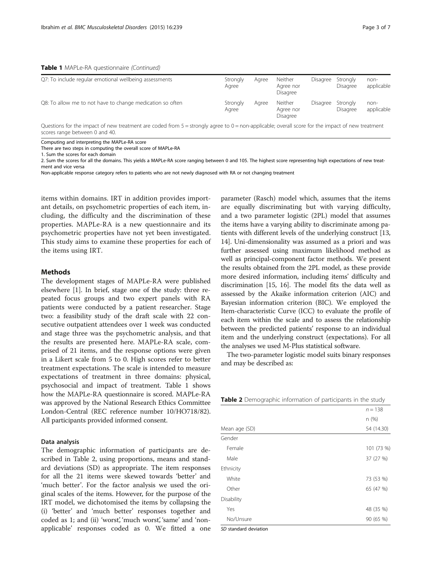<span id="page-2-0"></span>

|  |  | Table 1 MAPLe-RA questionnaire (Continued) |  |
|--|--|--------------------------------------------|--|
|--|--|--------------------------------------------|--|

| Q7: To include regular emotional wellbeing assessments    | Strongly<br>Aaree | Aaree | <b>Neither</b><br>Aaree nor<br>Disagree | Disagree | Strongly<br>Disagree | non-<br>applicable |
|-----------------------------------------------------------|-------------------|-------|-----------------------------------------|----------|----------------------|--------------------|
| Q8: To allow me to not have to change medication so often | Strongly<br>Agree | Agree | <b>Neither</b><br>Agree nor<br>Disagree | Disagree | Strongly<br>Disagree | non-<br>applicable |

Questions for the impact of new treatment are coded from 5 = strongly agree to 0 = non-applicable; overall score for the impact of new treatment scores range between 0 and 40.

Computing and interpreting the MAPLe-RA score

There are two steps in computing the overall score of MAPLe-RA

1. Sum the scores for each domain

2. Sum the scores for all the domains. This yields a MAPLe-RA score ranging between 0 and 105. The highest score representing high expectations of new treatment and vice versa

Non-applicable response category refers to patients who are not newly diagnosed with RA or not changing treatment

items within domains. IRT in addition provides important details, on psychometric properties of each item, including, the difficulty and the discrimination of these properties. MAPLe-RA is a new questionnaire and its psychometric properties have not yet been investigated. This study aims to examine these properties for each of the items using IRT.

# **Methods**

The development stages of MAPLe-RA were published elsewhere [\[1](#page-5-0)]. In brief, stage one of the study: three repeated focus groups and two expert panels with RA patients were conducted by a patient researcher. Stage two: a feasibility study of the draft scale with 22 consecutive outpatient attendees over 1 week was conducted and stage three was the psychometric analysis, and that the results are presented here. MAPLe-RA scale, comprised of 21 items, and the response options were given in a Likert scale from 5 to 0. High scores refer to better treatment expectations. The scale is intended to measure expectations of treatment in three domains: physical, psychosocial and impact of treatment. Table [1](#page-1-0) shows how the MAPLe-RA questionnaire is scored. MAPLe-RA was approved by the National Research Ethics Committee London-Central (REC reference number 10/HO718/82). All participants provided informed consent.

#### Data analysis

The demographic information of participants are described in Table 2, using proportions, means and standard deviations (SD) as appropriate. The item responses for all the 21 items were skewed towards 'better' and 'much better'. For the factor analysis we used the original scales of the items. However, for the purpose of the IRT model, we dichotomised the items by collapsing the (i) 'better' and 'much better' responses together and coded as 1; and (ii) 'worst', 'much worst', 'same' and 'nonapplicable' responses coded as 0. We fitted a one

parameter (Rasch) model which, assumes that the items are equally discriminating but with varying difficulty, and a two parameter logistic (2PL) model that assumes the items have a varying ability to discriminate among patients with different levels of the underlying construct [[13](#page-6-0), [14](#page-6-0)]. Uni-dimensionality was assumed as a priori and was further assessed using maximum likelihood method as well as principal-component factor methods. We present the results obtained from the 2PL model, as these provide more desired information, including items' difficulty and discrimination [\[15, 16\]](#page-6-0). The model fits the data well as assessed by the Akaike information criterion (AIC) and Bayesian information criterion (BIC). We employed the Item-characteristic Curve (ICC) to evaluate the profile of each item within the scale and to assess the relationship between the predicted patients' response to an individual item and the underlying construct (expectations). For all the analyses we used M-Plus statistical software.

The two-parameter logistic model suits binary responses and may be described as:

| <b>Table 2</b> Demographic information of participants in the study |  |
|---------------------------------------------------------------------|--|
|---------------------------------------------------------------------|--|

|               | $n = 138$  |
|---------------|------------|
|               | n(%)       |
| Mean age (SD) | 54 (14.30) |
| Gender        |            |
| Female        | 101 (73 %) |
| Male          | 37 (27 %)  |
| Ethnicity     |            |
| White         | 73 (53 %)  |
| Other         | 65 (47 %)  |
| Disability    |            |
| Yes           | 48 (35 %)  |
| No/Unsure     | 90 (65 %)  |

SD standard deviation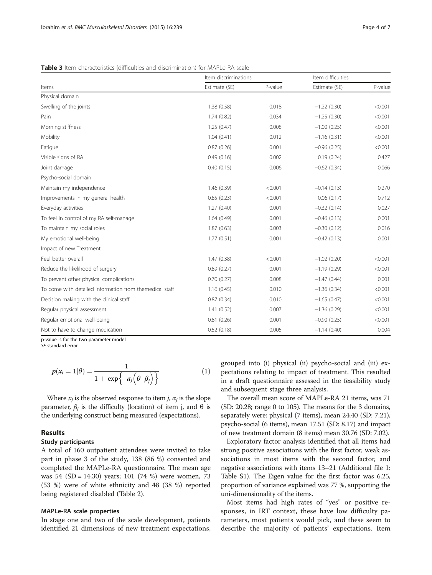<span id="page-3-0"></span>Table 3 Item characteristics (difficulties and discrimination) for MAPLe-RA scale

|                                                         | Item discriminations |         | Item difficulties |         |  |
|---------------------------------------------------------|----------------------|---------|-------------------|---------|--|
| Items                                                   | Estimate (SE)        | P-value | Estimate (SE)     | P-value |  |
| Physical domain                                         |                      |         |                   |         |  |
| Swelling of the joints                                  | 1.38(0.58)           | 0.018   | $-1.22(0.30)$     | < 0.001 |  |
| Pain                                                    | 1.74(0.82)           | 0.034   | $-1.25(0.30)$     | < 0.001 |  |
| Morning stiffness                                       | 1.25(0.47)           | 0.008   | $-1.00(0.25)$     | < 0.001 |  |
| Mobility                                                | 1.04(0.41)           | 0.012   | $-1.16(0.31)$     | < 0.001 |  |
| Fatigue                                                 | 0.87(0.26)           | 0.001   | $-0.96(0.25)$     | < 0.001 |  |
| Visible signs of RA                                     | 0.49(0.16)           | 0.002   | 0.19(0.24)        | 0.427   |  |
| Joint damage                                            | 0.40(0.15)           | 0.006   | $-0.62(0.34)$     | 0.066   |  |
| Psycho-social domain                                    |                      |         |                   |         |  |
| Maintain my independence                                | 1.46(0.39)           | < 0.001 | $-0.14(0.13)$     | 0.270   |  |
| Improvements in my general health                       | 0.85(0.23)           | < 0.001 | 0.06(0.17)        | 0.712   |  |
| Everyday activities                                     | 1.27(0.40)           | 0.001   | $-0.32(0.14)$     | 0.027   |  |
| To feel in control of my RA self-manage                 | 1.64(0.49)           | 0.001   | $-0.46(0.13)$     | 0.001   |  |
| To maintain my social roles                             | 1.87(0.63)           | 0.003   | $-0.30(0.12)$     | 0.016   |  |
| My emotional well-being                                 | 1.77(0.51)           | 0.001   | $-0.42(0.13)$     | 0.001   |  |
| Impact of new Treatment                                 |                      |         |                   |         |  |
| Feel better overall                                     | 1.47(0.38)           | < 0.001 | $-1.02(0.20)$     | < 0.001 |  |
| Reduce the likelihood of surgery                        | 0.89(0.27)           | 0.001   | $-1.19(0.29)$     | < 0.001 |  |
| To prevent other physical complications                 | 0.70(0.27)           | 0.008   | $-1.47(0.44)$     | 0.001   |  |
| To come with detailed information from themedical staff | 1.16(0.45)           | 0.010   | $-1.36(0.34)$     | < 0.001 |  |
| Decision making with the clinical staff                 | 0.87(0.34)           | 0.010   | $-1.65(0.47)$     | < 0.001 |  |
| Regular physical assessment                             | 1.41(0.52)           | 0.007   | $-1.36(0.29)$     | < 0.001 |  |
| Regular emotional well-being                            | 0.81(0.26)           | 0.001   | $-0.90(0.25)$     | < 0.001 |  |
| Not to have to change medication                        | 0.52(0.18)           | 0.005   | $-1.14(0.40)$     | 0.004   |  |

p-value is for the two parameter model SE standard error

$$
p(x_j = 1 | \theta) = \frac{1}{1 + \exp\{-a_j(\theta - \beta_j)\}}
$$
(1)

Where  $x_i$  is the observed response to item *j*,  $\alpha_i$  is the slope parameter,  $β<sub>i</sub>$  is the difficulty (location) of item j, and θ is the underlying construct being measured (expectations).

# Results

# Study participants

A total of 160 outpatient attendees were invited to take part in phase 3 of the study, 138 (86 %) consented and completed the MAPLe-RA questionnaire. The mean age was 54 (SD = 14.30) years; 101 (74 %) were women, 73 (53 %) were of white ethnicity and 48 (38 %) reported being registered disabled (Table [2](#page-2-0)).

#### MAPLe-RA scale properties

In stage one and two of the scale development, patients identified 21 dimensions of new treatment expectations,

grouped into (i) physical (ii) psycho-social and (iii) expectations relating to impact of treatment. This resulted in a draft questionnaire assessed in the feasibility study and subsequent stage three analysis.

The overall mean score of MAPLe-RA 21 items, was 71 (SD: 20.28; range 0 to 105). The means for the 3 domains, separately were: physical (7 items), mean 24.40 (SD: 7.21), psycho-social (6 items), mean 17.51 (SD: 8.17) and impact of new treatment domain (8 items) mean 30.76 (SD: 7.02).

Exploratory factor analysis identified that all items had strong positive associations with the first factor, weak associations in most items with the second factor, and negative associations with items 13–21 (Additional file [1](#page-5-0): Table S1). The Eigen value for the first factor was 6.25, proportion of variance explained was 77 %, supporting the uni-dimensionality of the items.

Most items had high rates of "yes" or positive responses, in IRT context, these have low difficulty parameters, most patients would pick, and these seem to describe the majority of patients' expectations. Item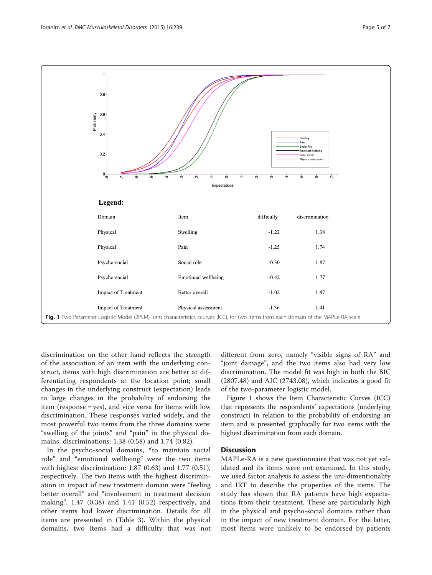

discrimination on the other hand reflects the strength of the association of an item with the underlying construct, items with high discrimination are better at differentiating respondents at the location point; small changes in the underlying construct (expectation) leads to large changes in the probability of endorsing the item (response = yes), and vice versa for items with low discrimination. These responses varied widely, and the most powerful two items from the three domains were: "swelling of the joints" and "pain" in the physical domains, discriminations: 1.38 (0.58) and 1.74 (0.82).

In the psycho-social domains, "to maintain social role" and "emotional wellbeing" were the two items with highest discrimination: 1.87 (0.63) and 1.77 (0.51), respectively. The two items with the highest discrimination in impact of new treatment domain were "feeling better overall" and "involvement in treatment decision making", 1.47 (0.38) and 1.41 (0.52) respectively, and other items had lower discrimination. Details for all items are presented in (Table [3](#page-3-0)). Within the physical domains, two items had a difficulty that was not different from zero, namely "visible signs of RA" and "joint damage", and the two items also had very low discrimination. The model fit was high in both the BIC (2807.48) and AIC (2743.08), which indicates a good fit of the two-parameter logistic model.

Figure 1 shows the Item Characteristic Curves (ICC) that represents the respondents' expectations (underlying construct) in relation to the probability of endorsing an item and is presented graphically for two items with the highest discrimination from each domain.

# **Discussion**

MAPLe-RA is a new questionnaire that was not yet validated and its items were not examined. In this study, we used factor analysis to assess the uni-dimentionality and IRT to describe the properties of the items. The study has shown that RA patients have high expectations from their treatment. These are particularly high in the physical and psycho-social domains rather than in the impact of new treatment domain. For the latter, most items were unlikely to be endorsed by patients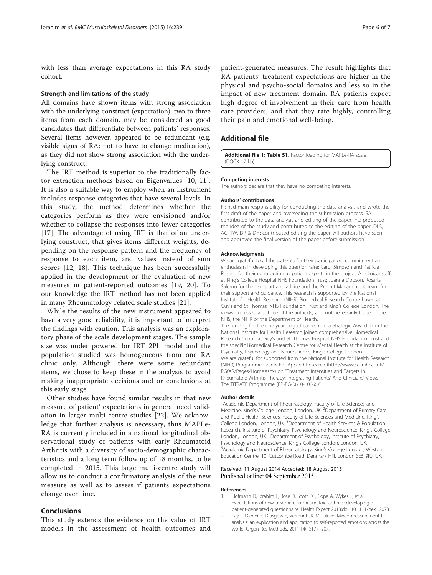<span id="page-5-0"></span>with less than average expectations in this RA study cohort.

#### Strength and limitations of the study

All domains have shown items with strong association with the underlying construct (expectation), two to three items from each domain, may be considered as good candidates that differentiate between patients' responses. Several items however, appeared to be redundant (e.g. visible signs of RA; not to have to change medication), as they did not show strong association with the underlying construct.

The IRT method is superior to the traditionally factor extraction methods based on Eigenvalues [[10, 11](#page-6-0)]. It is also a suitable way to employ when an instrument includes response categories that have several levels. In this study, the method determines whether the categories perform as they were envisioned and/or whether to collapse the responses into fewer categories [[17](#page-6-0)]. The advantage of using IRT is that of an underlying construct, that gives items different weights, depending on the response pattern and the frequency of response to each item, and values instead of sum scores [[12, 18\]](#page-6-0). This technique has been successfully applied in the development or the evaluation of new measures in patient-reported outcomes [\[19, 20\]](#page-6-0). To our knowledge the IRT method has not been applied in many Rheumatology related scale studies [[21\]](#page-6-0).

While the results of the new instrument appeared to have a very good reliability, it is important to interpret the findings with caution. This analysis was an exploratory phase of the scale development stages. The sample size was under powered for IRT 2PL model and the population studied was homogeneous from one RA clinic only. Although, there were some redundant items, we chose to keep these in the analysis to avoid making inappropriate decisions and or conclusions at this early stage.

Other studies have found similar results in that new measure of patient' expectations in general need validation in larger multi-centre studies [\[22\]](#page-6-0). We acknowledge that further analysis is necessary, thus MAPLe-RA is currently included in a national longitudinal observational study of patients with early Rheumatoid Arthritis with a diversity of socio-demographic characteristics and a long term follow up of 18 months, to be completed in 2015. This large multi-centre study will allow us to conduct a confirmatory analysis of the new measure as well as to assess if patients expectations change over time.

#### Conclusions

This study extends the evidence on the value of IRT models in the assessment of health outcomes and patient-generated measures. The result highlights that RA patients' treatment expectations are higher in the physical and psycho-social domains and less so in the impact of new treatment domain. RA patients expect high degree of involvement in their care from health care providers, and that they rate highly, controlling their pain and emotional well-being.

#### Additional file

[Additional file 1: Table S1.](http://www.biomedcentral.com/content/supplementary/s12891-015-0690-3-s1.docx) Factor loading for MAPLe-RA scale. (DOCX 17 kb)

#### Competing interests

The authors declare that they have no competing interests.

#### Authors' contributions

FI: had main responsibility for conducting the data analysis and wrote the first draft of the paper and overseeing the submission process. SA: contributed to the data analysis and editing of the paper. HL: proposed the idea of the study and contributed to the editing of the paper. DLS, AC, TW, DR & DH: contributed editing the paper. All authors have seen and approved the final version of the paper before submission.

#### Acknowledgments

We are grateful to all the patients for their participation, commitment and enthusiasm in developing this questionnaire; Carol Simpson and Patricia Rusling for their contribution as patient experts in the project. All clinical staff at King's College Hospital NHS Foundation Trust; Joanna Dobson, Rosaria Salerno for their support and advice and the Project Management team for their support and guidance. This research is supported by the National Institute for Health Research (NIHR) Biomedical Research Centre based at Guy's and St Thomas' NHS Foundation Trust and King's College London. The views expressed are those of the author(s) and not necessarily those of the NHS, the NIHR or the Department of Health.

The funding for the one year project came from a Strategic Award from the National Institute for Health Research joined comprehensive Biomedical Research Centre at Guy's and St. Thomas Hospital NHS Foundation Trust and the specific Biomedical Research Centre for Mental Health at the Institute of Psychiatry, Psychology and Neuroscience, King's College London. We are grateful for supported from the National Institute for Health Research (NIHR) Programme Grants For Applied Research ([http://www.ccf.nihr.ac.uk/](http://www.ccf.nihr.ac.uk/PGfAR/Pages/Home.aspx) [PGfAR/Pages/Home.aspx\)](http://www.ccf.nihr.ac.uk/PGfAR/Pages/Home.aspx) on "Treatment Intensities and Targets In Rheumatoid Arthritis Therapy: Integrating Patients' And Clinicians' Views – The TITRATE Programme (RP-PG-0610-10066)".

#### Author details

<sup>1</sup> Academic Department of Rheumatology, Faculty of Life Sciences and Medicine, King's College London, London, UK. <sup>2</sup> Department of Primary Care and Public Health Sciences, Faculty of Life Sciences and Medicine, King's College London, London, UK. <sup>3</sup>Department of Health Services & Population Research, Institute of Psychiatry, Psychology and Neuroscience, King's College London, London, UK. <sup>4</sup> Department of Psychology, Institute of Psychiatry, Psychology and Neuroscience, King's College London, London, UK. Academic Department of Rheumatology, King's College London, Weston Education Centre, 10, Cutcombe Road, Denmark Hill, London SE5 9RJ, UK.

#### Received: 11 August 2014 Accepted: 18 August 2015 Published online: 04 September 2015

#### References

- 1. Hofmann D, Ibrahim F, Rose D, Scott DL, Cope A, Wykes T, et al. Expectations of new treatment in rheumatoid arthritis: developing a patient-generated questionnaire. Health Expect 2013;doi: [10.1111/hex.12073.](http://dx.doi.org/10.1111/hex.12073)
- Tay L, Diener E, Drasgow F, Vermunt JK. Multilevel Mixed-measurement IRT analysis: an explication and application to self-reported emotions across the world. Organ Res Methods. 2011;14(1):177–207.